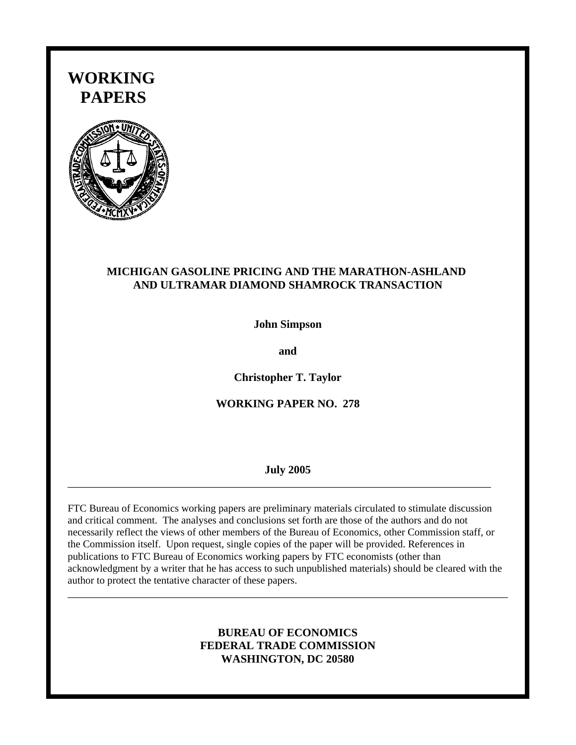# **WORKING PAPERS**



# **MICHIGAN GASOLINE PRICING AND THE MARATHON-ASHLAND AND ULTRAMAR DIAMOND SHAMROCK TRANSACTION**

**John Simpson**

**and**

**Christopher T. Taylor**

# **WORKING PAPER NO. 278**

#### **July 2005**

\_\_\_\_\_\_\_\_\_\_\_\_\_\_\_\_\_\_\_\_\_\_\_\_\_\_\_\_\_\_\_\_\_\_\_\_\_\_\_\_\_\_\_\_\_\_\_\_\_\_\_\_\_\_\_\_\_\_\_\_\_\_\_\_\_\_\_\_\_\_\_\_\_\_\_

FTC Bureau of Economics working papers are preliminary materials circulated to stimulate discussion and critical comment. The analyses and conclusions set forth are those of the authors and do not necessarily reflect the views of other members of the Bureau of Economics, other Commission staff, or the Commission itself. Upon request, single copies of the paper will be provided. References in publications to FTC Bureau of Economics working papers by FTC economists (other than acknowledgment by a writer that he has access to such unpublished materials) should be cleared with the author to protect the tentative character of these papers.

# **BUREAU OF ECONOMICS FEDERAL TRADE COMMISSION WASHINGTON, DC 20580**

\_\_\_\_\_\_\_\_\_\_\_\_\_\_\_\_\_\_\_\_\_\_\_\_\_\_\_\_\_\_\_\_\_\_\_\_\_\_\_\_\_\_\_\_\_\_\_\_\_\_\_\_\_\_\_\_\_\_\_\_\_\_\_\_\_\_\_\_\_\_\_\_\_\_\_\_\_\_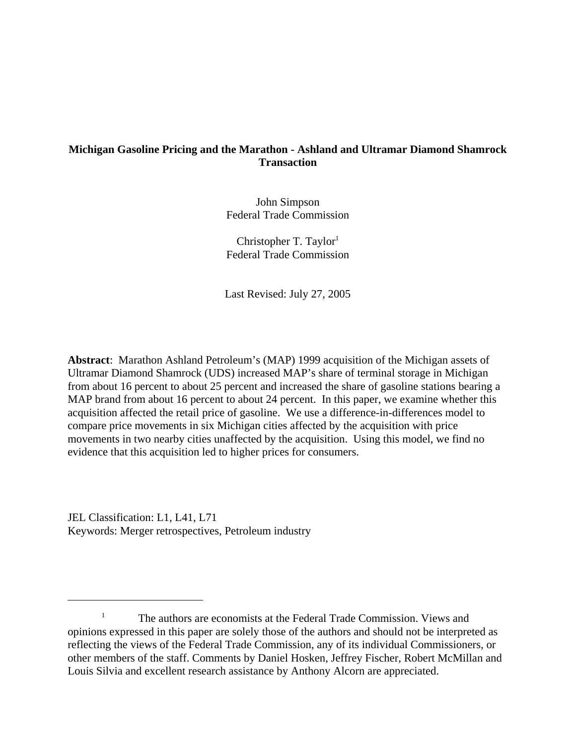# **Michigan Gasoline Pricing and the Marathon - Ashland and Ultramar Diamond Shamrock Transaction**

John Simpson Federal Trade Commission

Christopher T. Taylor<sup>1</sup> Federal Trade Commission

Last Revised: July 27, 2005

**Abstract**: Marathon Ashland Petroleum's (MAP) 1999 acquisition of the Michigan assets of Ultramar Diamond Shamrock (UDS) increased MAP's share of terminal storage in Michigan from about 16 percent to about 25 percent and increased the share of gasoline stations bearing a MAP brand from about 16 percent to about 24 percent. In this paper, we examine whether this acquisition affected the retail price of gasoline. We use a difference-in-differences model to compare price movements in six Michigan cities affected by the acquisition with price movements in two nearby cities unaffected by the acquisition. Using this model, we find no evidence that this acquisition led to higher prices for consumers.

JEL Classification: L1, L41, L71 Keywords: Merger retrospectives, Petroleum industry

<sup>&</sup>lt;sup>1</sup> The authors are economists at the Federal Trade Commission. Views and opinions expressed in this paper are solely those of the authors and should not be interpreted as reflecting the views of the Federal Trade Commission, any of its individual Commissioners, or other members of the staff. Comments by Daniel Hosken, Jeffrey Fischer, Robert McMillan and Louis Silvia and excellent research assistance by Anthony Alcorn are appreciated.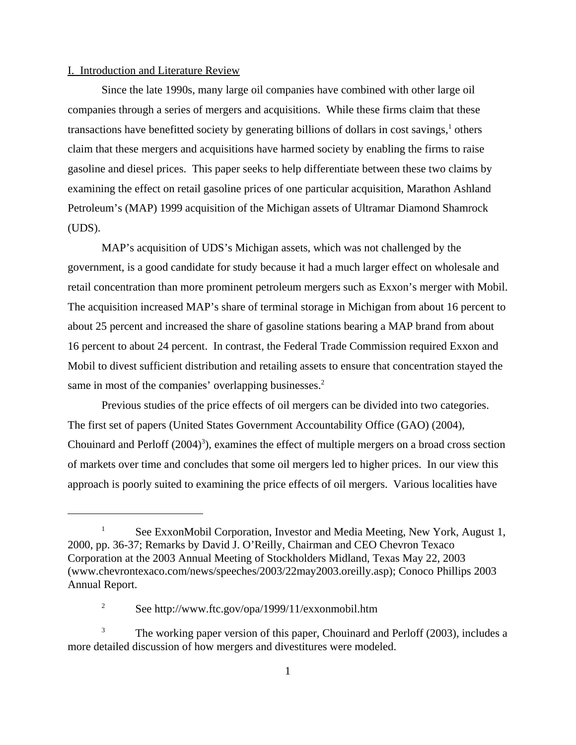#### I. Introduction and Literature Review

Since the late 1990s, many large oil companies have combined with other large oil companies through a series of mergers and acquisitions. While these firms claim that these transactions have benefitted society by generating billions of dollars in cost savings,<sup>1</sup> others claim that these mergers and acquisitions have harmed society by enabling the firms to raise gasoline and diesel prices. This paper seeks to help differentiate between these two claims by examining the effect on retail gasoline prices of one particular acquisition, Marathon Ashland Petroleum's (MAP) 1999 acquisition of the Michigan assets of Ultramar Diamond Shamrock (UDS).

MAP's acquisition of UDS's Michigan assets, which was not challenged by the government, is a good candidate for study because it had a much larger effect on wholesale and retail concentration than more prominent petroleum mergers such as Exxon's merger with Mobil. The acquisition increased MAP's share of terminal storage in Michigan from about 16 percent to about 25 percent and increased the share of gasoline stations bearing a MAP brand from about 16 percent to about 24 percent. In contrast, the Federal Trade Commission required Exxon and Mobil to divest sufficient distribution and retailing assets to ensure that concentration stayed the same in most of the companies' overlapping businesses.<sup>2</sup>

Previous studies of the price effects of oil mergers can be divided into two categories. The first set of papers (United States Government Accountability Office (GAO) (2004), Chouinard and Perloff  $(2004)^3$ ), examines the effect of multiple mergers on a broad cross section of markets over time and concludes that some oil mergers led to higher prices. In our view this approach is poorly suited to examining the price effects of oil mergers. Various localities have

<sup>&</sup>lt;sup>1</sup> See ExxonMobil Corporation, Investor and Media Meeting, New York, August 1, 2000, pp. 36-37; Remarks by David J. O'Reilly, Chairman and CEO Chevron Texaco Corporation at the 2003 Annual Meeting of Stockholders Midland, Texas May 22, 2003 (www.chevrontexaco.com/news/speeches/2003/22may2003.oreilly.asp); Conoco Phillips 2003 Annual Report.

<sup>&</sup>lt;sup>2</sup> See http://www.ftc.gov/opa/1999/11/exxonmobil.htm

The working paper version of this paper, Chouinard and Perloff (2003), includes a more detailed discussion of how mergers and divestitures were modeled.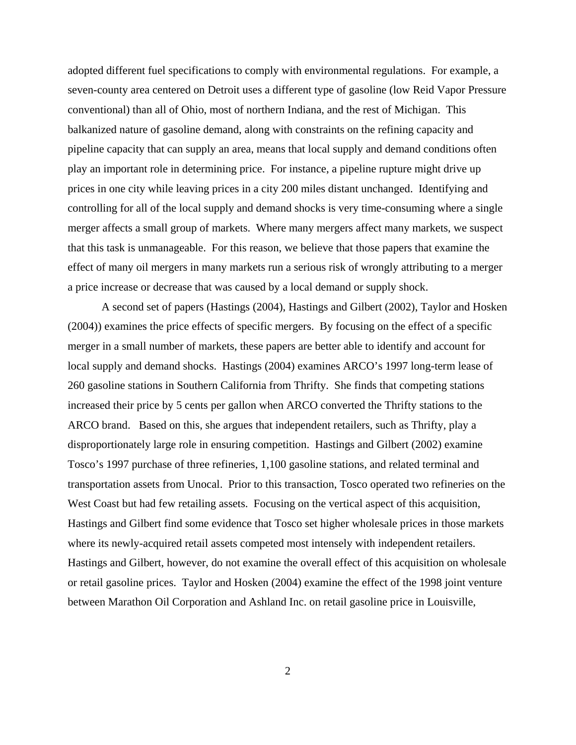adopted different fuel specifications to comply with environmental regulations. For example, a seven-county area centered on Detroit uses a different type of gasoline (low Reid Vapor Pressure conventional) than all of Ohio, most of northern Indiana, and the rest of Michigan. This balkanized nature of gasoline demand, along with constraints on the refining capacity and pipeline capacity that can supply an area, means that local supply and demand conditions often play an important role in determining price. For instance, a pipeline rupture might drive up prices in one city while leaving prices in a city 200 miles distant unchanged. Identifying and controlling for all of the local supply and demand shocks is very time-consuming where a single merger affects a small group of markets. Where many mergers affect many markets, we suspect that this task is unmanageable. For this reason, we believe that those papers that examine the effect of many oil mergers in many markets run a serious risk of wrongly attributing to a merger a price increase or decrease that was caused by a local demand or supply shock.

A second set of papers (Hastings (2004), Hastings and Gilbert (2002), Taylor and Hosken (2004)) examines the price effects of specific mergers. By focusing on the effect of a specific merger in a small number of markets, these papers are better able to identify and account for local supply and demand shocks. Hastings (2004) examines ARCO's 1997 long-term lease of 260 gasoline stations in Southern California from Thrifty. She finds that competing stations increased their price by 5 cents per gallon when ARCO converted the Thrifty stations to the ARCO brand. Based on this, she argues that independent retailers, such as Thrifty, play a disproportionately large role in ensuring competition. Hastings and Gilbert (2002) examine Tosco's 1997 purchase of three refineries, 1,100 gasoline stations, and related terminal and transportation assets from Unocal. Prior to this transaction, Tosco operated two refineries on the West Coast but had few retailing assets. Focusing on the vertical aspect of this acquisition, Hastings and Gilbert find some evidence that Tosco set higher wholesale prices in those markets where its newly-acquired retail assets competed most intensely with independent retailers. Hastings and Gilbert, however, do not examine the overall effect of this acquisition on wholesale or retail gasoline prices. Taylor and Hosken (2004) examine the effect of the 1998 joint venture between Marathon Oil Corporation and Ashland Inc. on retail gasoline price in Louisville,

2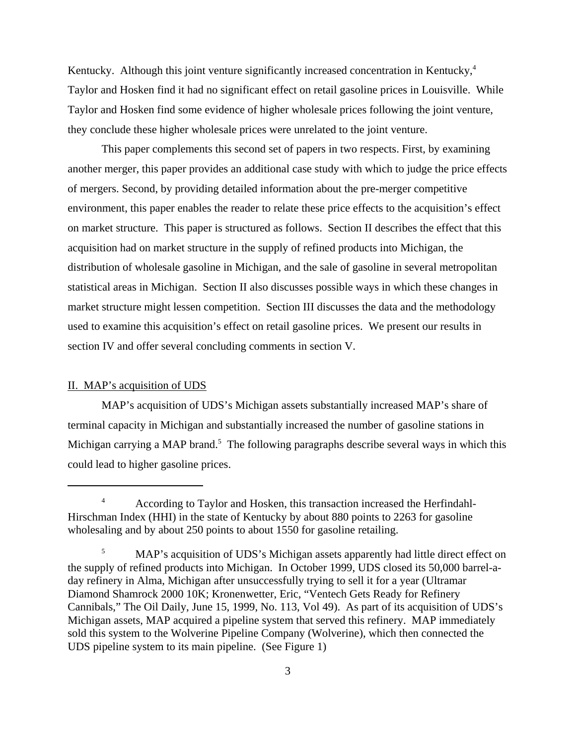Kentucky. Although this joint venture significantly increased concentration in Kentucky,<sup>4</sup> Taylor and Hosken find it had no significant effect on retail gasoline prices in Louisville. While Taylor and Hosken find some evidence of higher wholesale prices following the joint venture, they conclude these higher wholesale prices were unrelated to the joint venture.

This paper complements this second set of papers in two respects. First, by examining another merger, this paper provides an additional case study with which to judge the price effects of mergers. Second, by providing detailed information about the pre-merger competitive environment, this paper enables the reader to relate these price effects to the acquisition's effect on market structure. This paper is structured as follows. Section II describes the effect that this acquisition had on market structure in the supply of refined products into Michigan, the distribution of wholesale gasoline in Michigan, and the sale of gasoline in several metropolitan statistical areas in Michigan. Section II also discusses possible ways in which these changes in market structure might lessen competition. Section III discusses the data and the methodology used to examine this acquisition's effect on retail gasoline prices. We present our results in section IV and offer several concluding comments in section V.

#### II. MAP's acquisition of UDS

MAP's acquisition of UDS's Michigan assets substantially increased MAP's share of terminal capacity in Michigan and substantially increased the number of gasoline stations in Michigan carrying a MAP brand.<sup>5</sup> The following paragraphs describe several ways in which this could lead to higher gasoline prices.

<sup>&</sup>lt;sup>4</sup> According to Taylor and Hosken, this transaction increased the Herfindahl-Hirschman Index (HHI) in the state of Kentucky by about 880 points to 2263 for gasoline wholesaling and by about 250 points to about 1550 for gasoline retailing.

<sup>&</sup>lt;sup>5</sup> MAP's acquisition of UDS's Michigan assets apparently had little direct effect on the supply of refined products into Michigan. In October 1999, UDS closed its 50,000 barrel-aday refinery in Alma, Michigan after unsuccessfully trying to sell it for a year (Ultramar Diamond Shamrock 2000 10K; Kronenwetter, Eric, "Ventech Gets Ready for Refinery Cannibals," The Oil Daily, June 15, 1999, No. 113, Vol 49). As part of its acquisition of UDS's Michigan assets, MAP acquired a pipeline system that served this refinery. MAP immediately sold this system to the Wolverine Pipeline Company (Wolverine), which then connected the UDS pipeline system to its main pipeline. (See Figure 1)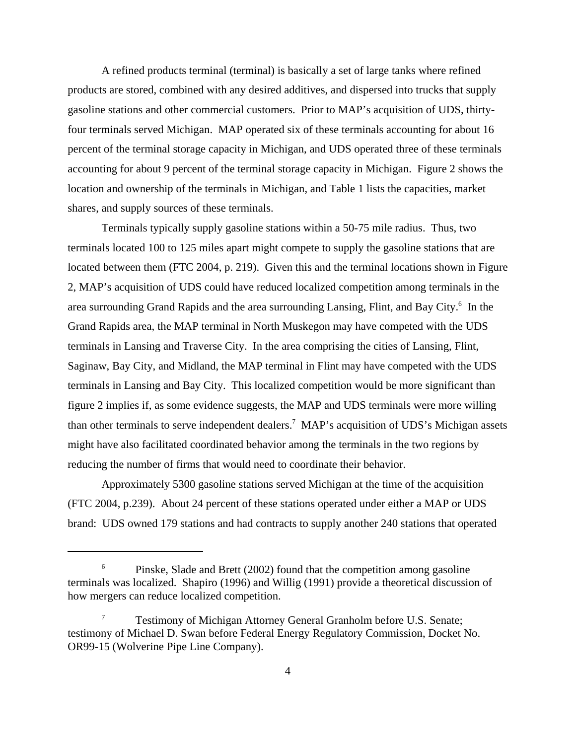A refined products terminal (terminal) is basically a set of large tanks where refined products are stored, combined with any desired additives, and dispersed into trucks that supply gasoline stations and other commercial customers. Prior to MAP's acquisition of UDS, thirtyfour terminals served Michigan. MAP operated six of these terminals accounting for about 16 percent of the terminal storage capacity in Michigan, and UDS operated three of these terminals accounting for about 9 percent of the terminal storage capacity in Michigan. Figure 2 shows the location and ownership of the terminals in Michigan, and Table 1 lists the capacities, market shares, and supply sources of these terminals.

Terminals typically supply gasoline stations within a 50-75 mile radius. Thus, two terminals located 100 to 125 miles apart might compete to supply the gasoline stations that are located between them (FTC 2004, p. 219). Given this and the terminal locations shown in Figure 2, MAP's acquisition of UDS could have reduced localized competition among terminals in the area surrounding Grand Rapids and the area surrounding Lansing, Flint, and Bay City.<sup>6</sup> In the Grand Rapids area, the MAP terminal in North Muskegon may have competed with the UDS terminals in Lansing and Traverse City. In the area comprising the cities of Lansing, Flint, Saginaw, Bay City, and Midland, the MAP terminal in Flint may have competed with the UDS terminals in Lansing and Bay City. This localized competition would be more significant than figure 2 implies if, as some evidence suggests, the MAP and UDS terminals were more willing than other terminals to serve independent dealers.<sup>7</sup> MAP's acquisition of UDS's Michigan assets might have also facilitated coordinated behavior among the terminals in the two regions by reducing the number of firms that would need to coordinate their behavior.

Approximately 5300 gasoline stations served Michigan at the time of the acquisition (FTC 2004, p.239). About 24 percent of these stations operated under either a MAP or UDS brand: UDS owned 179 stations and had contracts to supply another 240 stations that operated

<sup>&</sup>lt;sup>6</sup> Pinske, Slade and Brett (2002) found that the competition among gasoline terminals was localized. Shapiro (1996) and Willig (1991) provide a theoretical discussion of how mergers can reduce localized competition.

<sup>&</sup>lt;sup>7</sup> Testimony of Michigan Attorney General Granholm before U.S. Senate; testimony of Michael D. Swan before Federal Energy Regulatory Commission, Docket No. OR99-15 (Wolverine Pipe Line Company).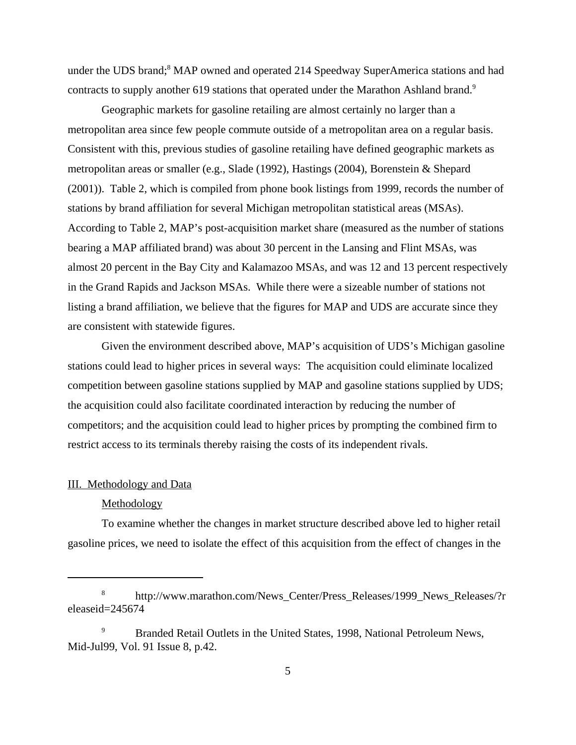under the UDS brand;<sup>8</sup> MAP owned and operated 214 Speedway SuperAmerica stations and had contracts to supply another 619 stations that operated under the Marathon Ashland brand.<sup>9</sup>

Geographic markets for gasoline retailing are almost certainly no larger than a metropolitan area since few people commute outside of a metropolitan area on a regular basis. Consistent with this, previous studies of gasoline retailing have defined geographic markets as metropolitan areas or smaller (e.g., Slade (1992), Hastings (2004), Borenstein & Shepard (2001)). Table 2, which is compiled from phone book listings from 1999, records the number of stations by brand affiliation for several Michigan metropolitan statistical areas (MSAs). According to Table 2, MAP's post-acquisition market share (measured as the number of stations bearing a MAP affiliated brand) was about 30 percent in the Lansing and Flint MSAs, was almost 20 percent in the Bay City and Kalamazoo MSAs, and was 12 and 13 percent respectively in the Grand Rapids and Jackson MSAs. While there were a sizeable number of stations not listing a brand affiliation, we believe that the figures for MAP and UDS are accurate since they are consistent with statewide figures.

Given the environment described above, MAP's acquisition of UDS's Michigan gasoline stations could lead to higher prices in several ways: The acquisition could eliminate localized competition between gasoline stations supplied by MAP and gasoline stations supplied by UDS; the acquisition could also facilitate coordinated interaction by reducing the number of competitors; and the acquisition could lead to higher prices by prompting the combined firm to restrict access to its terminals thereby raising the costs of its independent rivals.

## III. Methodology and Data

#### Methodology

To examine whether the changes in market structure described above led to higher retail gasoline prices, we need to isolate the effect of this acquisition from the effect of changes in the

<sup>&</sup>lt;sup>8</sup> http://www.marathon.com/News Center/Press Releases/1999 News Releases/?r eleaseid=245674

<sup>9</sup> Branded Retail Outlets in the United States, 1998, National Petroleum News, Mid-Jul99, Vol. 91 Issue 8, p.42.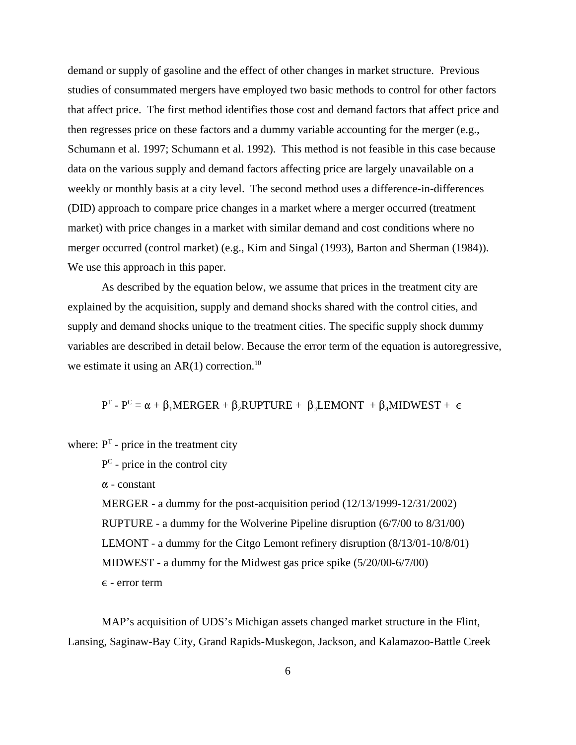demand or supply of gasoline and the effect of other changes in market structure. Previous studies of consummated mergers have employed two basic methods to control for other factors that affect price. The first method identifies those cost and demand factors that affect price and then regresses price on these factors and a dummy variable accounting for the merger (e.g., Schumann et al. 1997; Schumann et al. 1992). This method is not feasible in this case because data on the various supply and demand factors affecting price are largely unavailable on a weekly or monthly basis at a city level. The second method uses a difference-in-differences (DID) approach to compare price changes in a market where a merger occurred (treatment market) with price changes in a market with similar demand and cost conditions where no merger occurred (control market) (e.g., Kim and Singal (1993), Barton and Sherman (1984)). We use this approach in this paper.

As described by the equation below, we assume that prices in the treatment city are explained by the acquisition, supply and demand shocks shared with the control cities, and supply and demand shocks unique to the treatment cities. The specific supply shock dummy variables are described in detail below. Because the error term of the equation is autoregressive, we estimate it using an  $AR(1)$  correction.<sup>10</sup>

 $P^{T}$  -  $P^{C} = \alpha + \beta_{1}$ MERGER +  $\beta_{2}$ RUPTURE +  $\beta_{3}$ LEMONT +  $\beta_{4}$ MIDWEST +  $\epsilon$ 

where:  $P<sup>T</sup>$  - price in the treatment city

 $P^C$  - price in the control city

 $\alpha$  - constant

MERGER - a dummy for the post-acquisition period (12/13/1999-12/31/2002) RUPTURE - a dummy for the Wolverine Pipeline disruption (6/7/00 to 8/31/00) LEMONT - a dummy for the Citgo Lemont refinery disruption (8/13/01-10/8/01) MIDWEST - a dummy for the Midwest gas price spike (5/20/00-6/7/00)  $\epsilon$  - error term

MAP's acquisition of UDS's Michigan assets changed market structure in the Flint, Lansing, Saginaw-Bay City, Grand Rapids-Muskegon, Jackson, and Kalamazoo-Battle Creek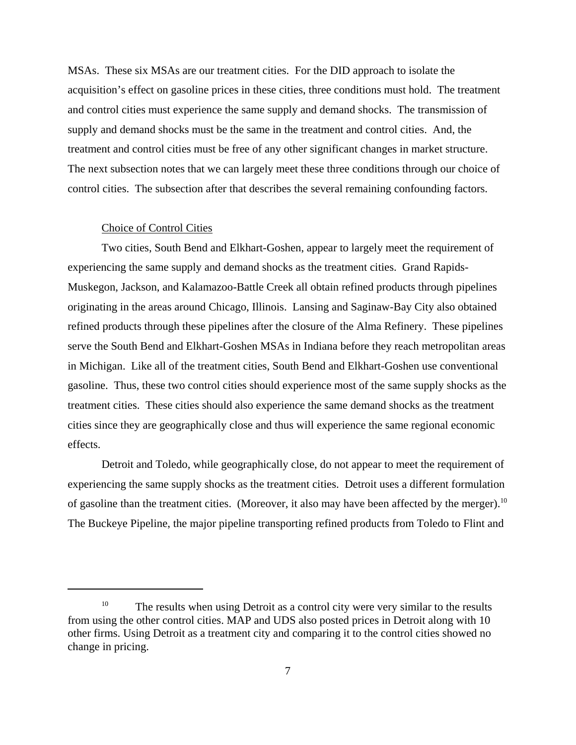MSAs. These six MSAs are our treatment cities. For the DID approach to isolate the acquisition's effect on gasoline prices in these cities, three conditions must hold. The treatment and control cities must experience the same supply and demand shocks. The transmission of supply and demand shocks must be the same in the treatment and control cities. And, the treatment and control cities must be free of any other significant changes in market structure. The next subsection notes that we can largely meet these three conditions through our choice of control cities. The subsection after that describes the several remaining confounding factors.

#### Choice of Control Cities

Two cities, South Bend and Elkhart-Goshen, appear to largely meet the requirement of experiencing the same supply and demand shocks as the treatment cities. Grand Rapids-Muskegon, Jackson, and Kalamazoo-Battle Creek all obtain refined products through pipelines originating in the areas around Chicago, Illinois. Lansing and Saginaw-Bay City also obtained refined products through these pipelines after the closure of the Alma Refinery. These pipelines serve the South Bend and Elkhart-Goshen MSAs in Indiana before they reach metropolitan areas in Michigan. Like all of the treatment cities, South Bend and Elkhart-Goshen use conventional gasoline. Thus, these two control cities should experience most of the same supply shocks as the treatment cities. These cities should also experience the same demand shocks as the treatment cities since they are geographically close and thus will experience the same regional economic effects.

Detroit and Toledo, while geographically close, do not appear to meet the requirement of experiencing the same supply shocks as the treatment cities. Detroit uses a different formulation of gasoline than the treatment cities. (Moreover, it also may have been affected by the merger).<sup>10</sup> The Buckeye Pipeline, the major pipeline transporting refined products from Toledo to Flint and

<sup>&</sup>lt;sup>10</sup> The results when using Detroit as a control city were very similar to the results from using the other control cities. MAP and UDS also posted prices in Detroit along with 10 other firms. Using Detroit as a treatment city and comparing it to the control cities showed no change in pricing.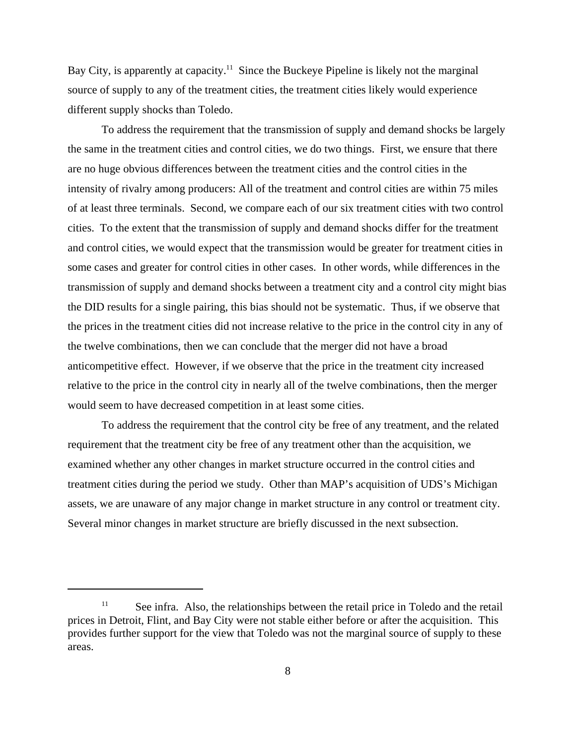Bay City, is apparently at capacity.<sup>11</sup> Since the Buckeye Pipeline is likely not the marginal source of supply to any of the treatment cities, the treatment cities likely would experience different supply shocks than Toledo.

To address the requirement that the transmission of supply and demand shocks be largely the same in the treatment cities and control cities, we do two things. First, we ensure that there are no huge obvious differences between the treatment cities and the control cities in the intensity of rivalry among producers: All of the treatment and control cities are within 75 miles of at least three terminals. Second, we compare each of our six treatment cities with two control cities. To the extent that the transmission of supply and demand shocks differ for the treatment and control cities, we would expect that the transmission would be greater for treatment cities in some cases and greater for control cities in other cases. In other words, while differences in the transmission of supply and demand shocks between a treatment city and a control city might bias the DID results for a single pairing, this bias should not be systematic. Thus, if we observe that the prices in the treatment cities did not increase relative to the price in the control city in any of the twelve combinations, then we can conclude that the merger did not have a broad anticompetitive effect. However, if we observe that the price in the treatment city increased relative to the price in the control city in nearly all of the twelve combinations, then the merger would seem to have decreased competition in at least some cities.

To address the requirement that the control city be free of any treatment, and the related requirement that the treatment city be free of any treatment other than the acquisition, we examined whether any other changes in market structure occurred in the control cities and treatment cities during the period we study. Other than MAP's acquisition of UDS's Michigan assets, we are unaware of any major change in market structure in any control or treatment city. Several minor changes in market structure are briefly discussed in the next subsection.

<sup>&</sup>lt;sup>11</sup> See infra. Also, the relationships between the retail price in Toledo and the retail prices in Detroit, Flint, and Bay City were not stable either before or after the acquisition. This provides further support for the view that Toledo was not the marginal source of supply to these areas.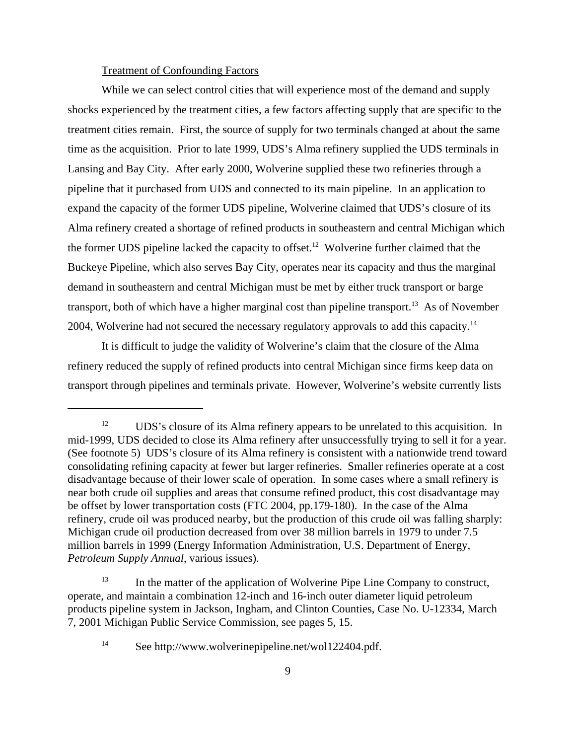### Treatment of Confounding Factors

While we can select control cities that will experience most of the demand and supply shocks experienced by the treatment cities, a few factors affecting supply that are specific to the treatment cities remain. First, the source of supply for two terminals changed at about the same time as the acquisition. Prior to late 1999, UDS's Alma refinery supplied the UDS terminals in Lansing and Bay City. After early 2000, Wolverine supplied these two refineries through a pipeline that it purchased from UDS and connected to its main pipeline. In an application to expand the capacity of the former UDS pipeline, Wolverine claimed that UDS's closure of its Alma refinery created a shortage of refined products in southeastern and central Michigan which the former UDS pipeline lacked the capacity to offset.<sup>12</sup> Wolverine further claimed that the Buckeye Pipeline, which also serves Bay City, operates near its capacity and thus the marginal demand in southeastern and central Michigan must be met by either truck transport or barge transport, both of which have a higher marginal cost than pipeline transport.<sup>13</sup> As of November 2004, Wolverine had not secured the necessary regulatory approvals to add this capacity.<sup>14</sup>

It is difficult to judge the validity of Wolverine's claim that the closure of the Alma refinery reduced the supply of refined products into central Michigan since firms keep data on transport through pipelines and terminals private. However, Wolverine's website currently lists

<sup>&</sup>lt;sup>12</sup> UDS's closure of its Alma refinery appears to be unrelated to this acquisition. In mid-1999, UDS decided to close its Alma refinery after unsuccessfully trying to sell it for a year. (See footnote 5) UDS's closure of its Alma refinery is consistent with a nationwide trend toward consolidating refining capacity at fewer but larger refineries. Smaller refineries operate at a cost disadvantage because of their lower scale of operation. In some cases where a small refinery is near both crude oil supplies and areas that consume refined product, this cost disadvantage may be offset by lower transportation costs (FTC 2004, pp.179-180). In the case of the Alma refinery, crude oil was produced nearby, but the production of this crude oil was falling sharply: Michigan crude oil production decreased from over 38 million barrels in 1979 to under 7.5 million barrels in 1999 (Energy Information Administration, U.S. Department of Energy, *Petroleum Supply Annual*, various issues).

<sup>&</sup>lt;sup>13</sup> In the matter of the application of Wolverine Pipe Line Company to construct, operate, and maintain a combination 12-inch and 16-inch outer diameter liquid petroleum products pipeline system in Jackson, Ingham, and Clinton Counties, Case No. U-12334, March 7, 2001 Michigan Public Service Commission, see pages 5, 15.

<sup>&</sup>lt;sup>14</sup> See http://www.wolverinepipeline.net/wol122404.pdf.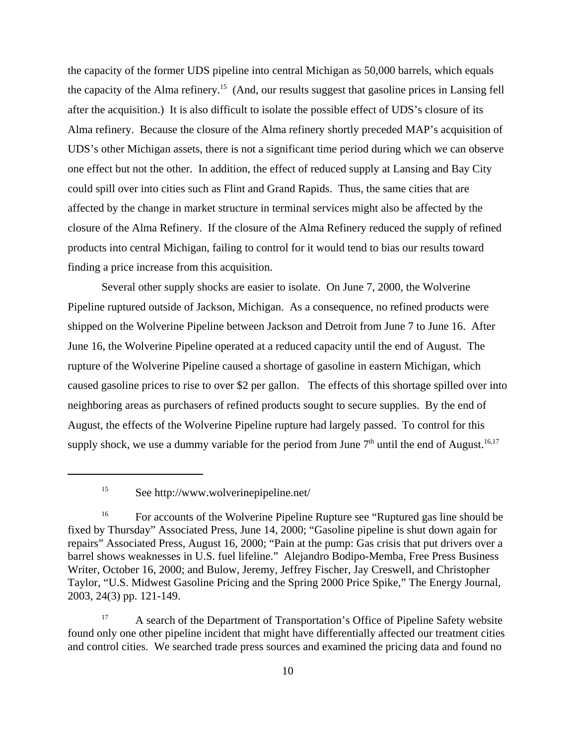the capacity of the former UDS pipeline into central Michigan as 50,000 barrels, which equals the capacity of the Alma refinery.<sup>15</sup> (And, our results suggest that gasoline prices in Lansing fell after the acquisition.) It is also difficult to isolate the possible effect of UDS's closure of its Alma refinery. Because the closure of the Alma refinery shortly preceded MAP's acquisition of UDS's other Michigan assets, there is not a significant time period during which we can observe one effect but not the other. In addition, the effect of reduced supply at Lansing and Bay City could spill over into cities such as Flint and Grand Rapids. Thus, the same cities that are affected by the change in market structure in terminal services might also be affected by the closure of the Alma Refinery. If the closure of the Alma Refinery reduced the supply of refined products into central Michigan, failing to control for it would tend to bias our results toward finding a price increase from this acquisition.

Several other supply shocks are easier to isolate. On June 7, 2000, the Wolverine Pipeline ruptured outside of Jackson, Michigan. As a consequence, no refined products were shipped on the Wolverine Pipeline between Jackson and Detroit from June 7 to June 16. After June 16, the Wolverine Pipeline operated at a reduced capacity until the end of August. The rupture of the Wolverine Pipeline caused a shortage of gasoline in eastern Michigan, which caused gasoline prices to rise to over \$2 per gallon. The effects of this shortage spilled over into neighboring areas as purchasers of refined products sought to secure supplies. By the end of August, the effects of the Wolverine Pipeline rupture had largely passed. To control for this supply shock, we use a dummy variable for the period from June  $7<sup>th</sup>$  until the end of August.<sup>16,17</sup>

<sup>17</sup> A search of the Department of Transportation's Office of Pipeline Safety website found only one other pipeline incident that might have differentially affected our treatment cities and control cities. We searched trade press sources and examined the pricing data and found no

<sup>15</sup> See http://www.wolverinepipeline.net/

<sup>&</sup>lt;sup>16</sup> For accounts of the Wolverine Pipeline Rupture see "Ruptured gas line should be fixed by Thursday" Associated Press, June 14, 2000; "Gasoline pipeline is shut down again for repairs" Associated Press, August 16, 2000; "Pain at the pump: Gas crisis that put drivers over a barrel shows weaknesses in U.S. fuel lifeline." Alejandro Bodipo-Memba, Free Press Business Writer, October 16, 2000; and Bulow, Jeremy, Jeffrey Fischer, Jay Creswell, and Christopher Taylor, "U.S. Midwest Gasoline Pricing and the Spring 2000 Price Spike," The Energy Journal, 2003, 24(3) pp. 121-149.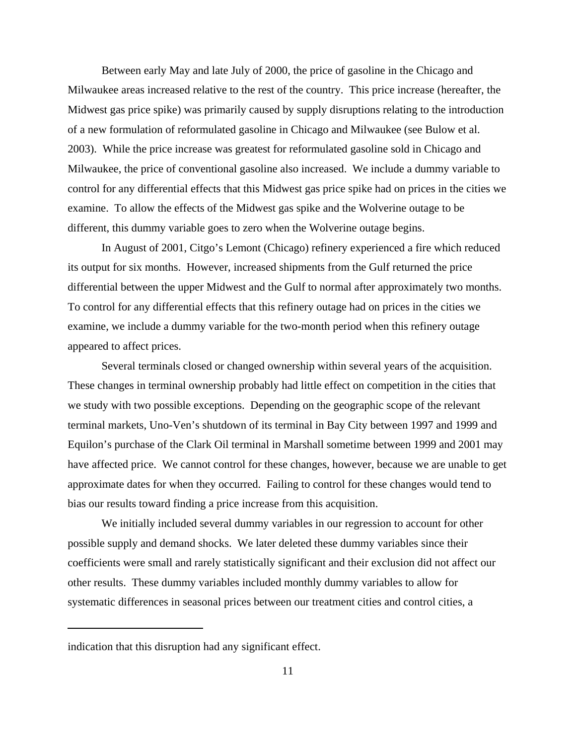Between early May and late July of 2000, the price of gasoline in the Chicago and Milwaukee areas increased relative to the rest of the country. This price increase (hereafter, the Midwest gas price spike) was primarily caused by supply disruptions relating to the introduction of a new formulation of reformulated gasoline in Chicago and Milwaukee (see Bulow et al. 2003). While the price increase was greatest for reformulated gasoline sold in Chicago and Milwaukee, the price of conventional gasoline also increased. We include a dummy variable to control for any differential effects that this Midwest gas price spike had on prices in the cities we examine. To allow the effects of the Midwest gas spike and the Wolverine outage to be different, this dummy variable goes to zero when the Wolverine outage begins.

In August of 2001, Citgo's Lemont (Chicago) refinery experienced a fire which reduced its output for six months. However, increased shipments from the Gulf returned the price differential between the upper Midwest and the Gulf to normal after approximately two months. To control for any differential effects that this refinery outage had on prices in the cities we examine, we include a dummy variable for the two-month period when this refinery outage appeared to affect prices.

Several terminals closed or changed ownership within several years of the acquisition. These changes in terminal ownership probably had little effect on competition in the cities that we study with two possible exceptions. Depending on the geographic scope of the relevant terminal markets, Uno-Ven's shutdown of its terminal in Bay City between 1997 and 1999 and Equilon's purchase of the Clark Oil terminal in Marshall sometime between 1999 and 2001 may have affected price. We cannot control for these changes, however, because we are unable to get approximate dates for when they occurred. Failing to control for these changes would tend to bias our results toward finding a price increase from this acquisition.

We initially included several dummy variables in our regression to account for other possible supply and demand shocks. We later deleted these dummy variables since their coefficients were small and rarely statistically significant and their exclusion did not affect our other results. These dummy variables included monthly dummy variables to allow for systematic differences in seasonal prices between our treatment cities and control cities, a

indication that this disruption had any significant effect.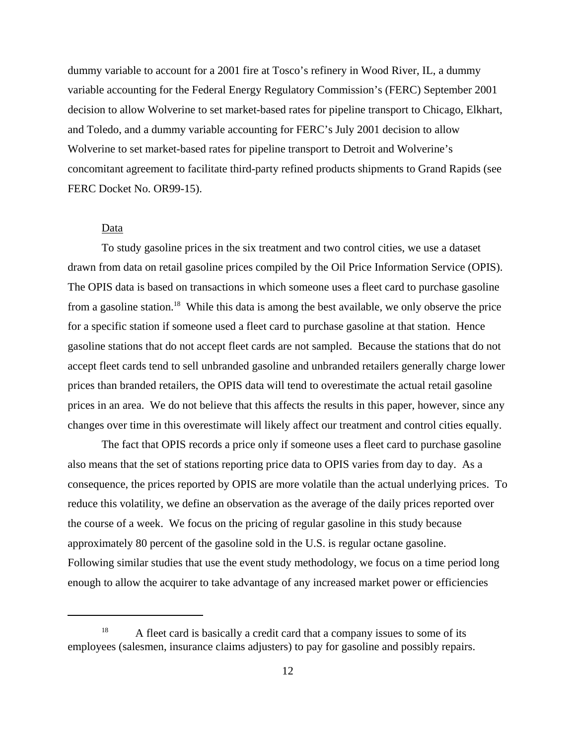dummy variable to account for a 2001 fire at Tosco's refinery in Wood River, IL, a dummy variable accounting for the Federal Energy Regulatory Commission's (FERC) September 2001 decision to allow Wolverine to set market-based rates for pipeline transport to Chicago, Elkhart, and Toledo, and a dummy variable accounting for FERC's July 2001 decision to allow Wolverine to set market-based rates for pipeline transport to Detroit and Wolverine's concomitant agreement to facilitate third-party refined products shipments to Grand Rapids (see FERC Docket No. OR99-15).

## Data

To study gasoline prices in the six treatment and two control cities, we use a dataset drawn from data on retail gasoline prices compiled by the Oil Price Information Service (OPIS). The OPIS data is based on transactions in which someone uses a fleet card to purchase gasoline from a gasoline station.18 While this data is among the best available, we only observe the price for a specific station if someone used a fleet card to purchase gasoline at that station. Hence gasoline stations that do not accept fleet cards are not sampled. Because the stations that do not accept fleet cards tend to sell unbranded gasoline and unbranded retailers generally charge lower prices than branded retailers, the OPIS data will tend to overestimate the actual retail gasoline prices in an area. We do not believe that this affects the results in this paper, however, since any changes over time in this overestimate will likely affect our treatment and control cities equally.

 The fact that OPIS records a price only if someone uses a fleet card to purchase gasoline also means that the set of stations reporting price data to OPIS varies from day to day. As a consequence, the prices reported by OPIS are more volatile than the actual underlying prices. To reduce this volatility, we define an observation as the average of the daily prices reported over the course of a week. We focus on the pricing of regular gasoline in this study because approximately 80 percent of the gasoline sold in the U.S. is regular octane gasoline. Following similar studies that use the event study methodology, we focus on a time period long enough to allow the acquirer to take advantage of any increased market power or efficiencies

<sup>&</sup>lt;sup>18</sup> A fleet card is basically a credit card that a company issues to some of its employees (salesmen, insurance claims adjusters) to pay for gasoline and possibly repairs.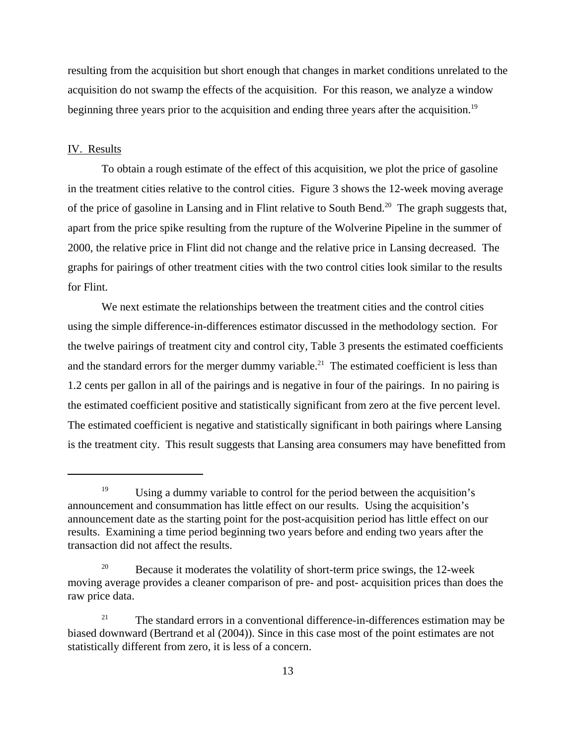resulting from the acquisition but short enough that changes in market conditions unrelated to the acquisition do not swamp the effects of the acquisition. For this reason, we analyze a window beginning three years prior to the acquisition and ending three years after the acquisition.<sup>19</sup>

## IV. Results

To obtain a rough estimate of the effect of this acquisition, we plot the price of gasoline in the treatment cities relative to the control cities. Figure 3 shows the 12-week moving average of the price of gasoline in Lansing and in Flint relative to South Bend.<sup>20</sup> The graph suggests that, apart from the price spike resulting from the rupture of the Wolverine Pipeline in the summer of 2000, the relative price in Flint did not change and the relative price in Lansing decreased. The graphs for pairings of other treatment cities with the two control cities look similar to the results for Flint.

We next estimate the relationships between the treatment cities and the control cities using the simple difference-in-differences estimator discussed in the methodology section. For the twelve pairings of treatment city and control city, Table 3 presents the estimated coefficients and the standard errors for the merger dummy variable.<sup>21</sup> The estimated coefficient is less than 1.2 cents per gallon in all of the pairings and is negative in four of the pairings. In no pairing is the estimated coefficient positive and statistically significant from zero at the five percent level. The estimated coefficient is negative and statistically significant in both pairings where Lansing is the treatment city. This result suggests that Lansing area consumers may have benefitted from

<sup>&</sup>lt;sup>19</sup> Using a dummy variable to control for the period between the acquisition's announcement and consummation has little effect on our results. Using the acquisition's announcement date as the starting point for the post-acquisition period has little effect on our results. Examining a time period beginning two years before and ending two years after the transaction did not affect the results.

<sup>&</sup>lt;sup>20</sup> Because it moderates the volatility of short-term price swings, the 12-week moving average provides a cleaner comparison of pre- and post- acquisition prices than does the raw price data.

<sup>&</sup>lt;sup>21</sup> The standard errors in a conventional difference-in-differences estimation may be biased downward (Bertrand et al (2004)). Since in this case most of the point estimates are not statistically different from zero, it is less of a concern.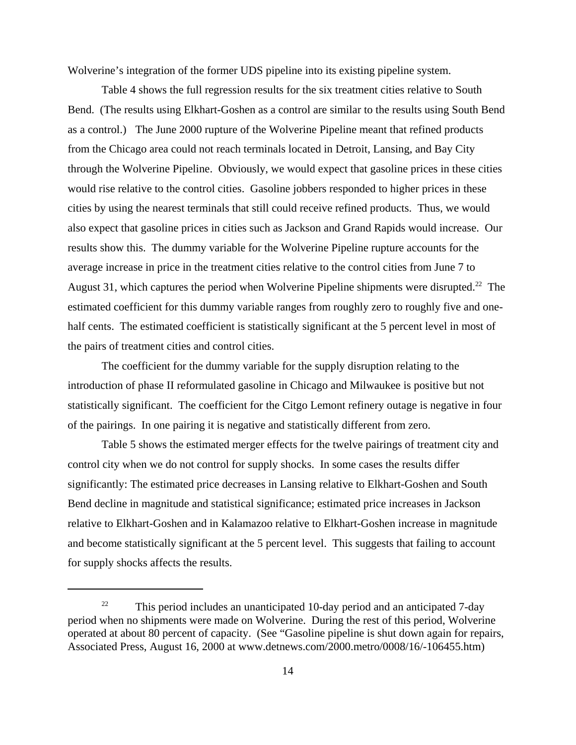Wolverine's integration of the former UDS pipeline into its existing pipeline system.

Table 4 shows the full regression results for the six treatment cities relative to South Bend. (The results using Elkhart-Goshen as a control are similar to the results using South Bend as a control.) The June 2000 rupture of the Wolverine Pipeline meant that refined products from the Chicago area could not reach terminals located in Detroit, Lansing, and Bay City through the Wolverine Pipeline. Obviously, we would expect that gasoline prices in these cities would rise relative to the control cities. Gasoline jobbers responded to higher prices in these cities by using the nearest terminals that still could receive refined products. Thus, we would also expect that gasoline prices in cities such as Jackson and Grand Rapids would increase. Our results show this. The dummy variable for the Wolverine Pipeline rupture accounts for the average increase in price in the treatment cities relative to the control cities from June 7 to August 31, which captures the period when Wolverine Pipeline shipments were disrupted.<sup>22</sup> The estimated coefficient for this dummy variable ranges from roughly zero to roughly five and onehalf cents. The estimated coefficient is statistically significant at the 5 percent level in most of the pairs of treatment cities and control cities.

The coefficient for the dummy variable for the supply disruption relating to the introduction of phase II reformulated gasoline in Chicago and Milwaukee is positive but not statistically significant. The coefficient for the Citgo Lemont refinery outage is negative in four of the pairings. In one pairing it is negative and statistically different from zero.

 Table 5 shows the estimated merger effects for the twelve pairings of treatment city and control city when we do not control for supply shocks. In some cases the results differ significantly: The estimated price decreases in Lansing relative to Elkhart-Goshen and South Bend decline in magnitude and statistical significance; estimated price increases in Jackson relative to Elkhart-Goshen and in Kalamazoo relative to Elkhart-Goshen increase in magnitude and become statistically significant at the 5 percent level. This suggests that failing to account for supply shocks affects the results.

<sup>&</sup>lt;sup>22</sup> This period includes an unanticipated 10-day period and an anticipated 7-day period when no shipments were made on Wolverine. During the rest of this period, Wolverine operated at about 80 percent of capacity. (See "Gasoline pipeline is shut down again for repairs, Associated Press, August 16, 2000 at www.detnews.com/2000.metro/0008/16/-106455.htm)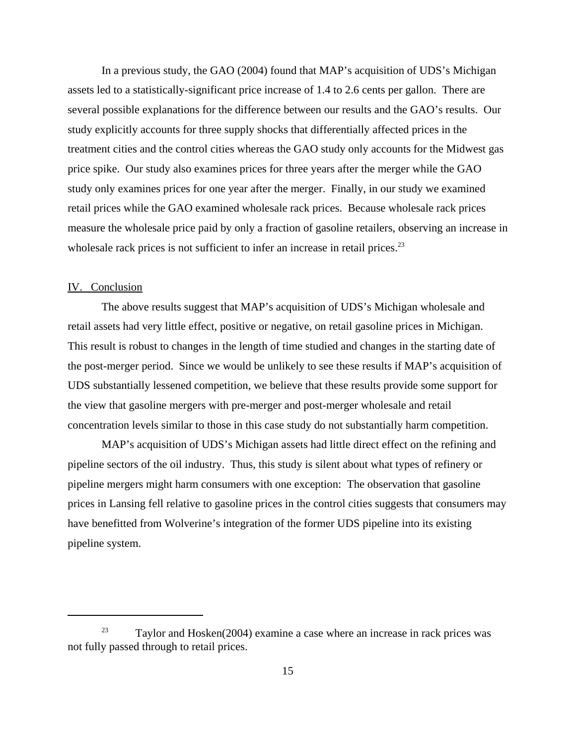In a previous study, the GAO (2004) found that MAP's acquisition of UDS's Michigan assets led to a statistically-significant price increase of 1.4 to 2.6 cents per gallon. There are several possible explanations for the difference between our results and the GAO's results. Our study explicitly accounts for three supply shocks that differentially affected prices in the treatment cities and the control cities whereas the GAO study only accounts for the Midwest gas price spike. Our study also examines prices for three years after the merger while the GAO study only examines prices for one year after the merger. Finally, in our study we examined retail prices while the GAO examined wholesale rack prices. Because wholesale rack prices measure the wholesale price paid by only a fraction of gasoline retailers, observing an increase in wholesale rack prices is not sufficient to infer an increase in retail prices.<sup>23</sup>

## IV. Conclusion

The above results suggest that MAP's acquisition of UDS's Michigan wholesale and retail assets had very little effect, positive or negative, on retail gasoline prices in Michigan. This result is robust to changes in the length of time studied and changes in the starting date of the post-merger period. Since we would be unlikely to see these results if MAP's acquisition of UDS substantially lessened competition, we believe that these results provide some support for the view that gasoline mergers with pre-merger and post-merger wholesale and retail concentration levels similar to those in this case study do not substantially harm competition.

MAP's acquisition of UDS's Michigan assets had little direct effect on the refining and pipeline sectors of the oil industry. Thus, this study is silent about what types of refinery or pipeline mergers might harm consumers with one exception: The observation that gasoline prices in Lansing fell relative to gasoline prices in the control cities suggests that consumers may have benefitted from Wolverine's integration of the former UDS pipeline into its existing pipeline system.

 $23$  Taylor and Hosken(2004) examine a case where an increase in rack prices was not fully passed through to retail prices.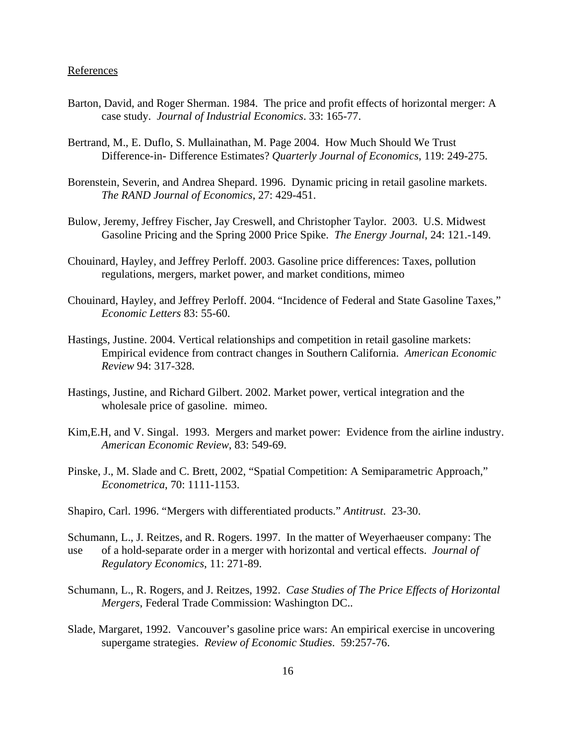## References

- Barton, David, and Roger Sherman. 1984. The price and profit effects of horizontal merger: A case study. *Journal of Industrial Economics*. 33: 165-77.
- Bertrand, M., E. Duflo, S. Mullainathan, M. Page 2004. How Much Should We Trust Difference-in- Difference Estimates? *Quarterly Journal of Economics*, 119: 249-275.
- Borenstein, Severin, and Andrea Shepard. 1996. Dynamic pricing in retail gasoline markets. *The RAND Journal of Economics*, 27: 429-451.
- Bulow, Jeremy, Jeffrey Fischer, Jay Creswell, and Christopher Taylor. 2003. U.S. Midwest Gasoline Pricing and the Spring 2000 Price Spike. *The Energy Journal*, 24: 121.-149.
- Chouinard, Hayley, and Jeffrey Perloff. 2003. Gasoline price differences: Taxes, pollution regulations, mergers, market power, and market conditions, mimeo
- Chouinard, Hayley, and Jeffrey Perloff. 2004. "Incidence of Federal and State Gasoline Taxes," *Economic Letters* 83: 55-60.
- Hastings, Justine. 2004. Vertical relationships and competition in retail gasoline markets: Empirical evidence from contract changes in Southern California. *American Economic Review* 94: 317-328.
- Hastings, Justine, and Richard Gilbert. 2002. Market power, vertical integration and the wholesale price of gasoline. mimeo.
- Kim,E.H, and V. Singal. 1993. Mergers and market power: Evidence from the airline industry. *American Economic Review*, 83: 549-69.
- Pinske, J., M. Slade and C. Brett, 2002, "Spatial Competition: A Semiparametric Approach," *Econometrica*, 70: 1111-1153.
- Shapiro, Carl. 1996. "Mergers with differentiated products." *Antitrust*. 23-30.
- Schumann, L., J. Reitzes, and R. Rogers. 1997. In the matter of Weyerhaeuser company: The use of a hold-separate order in a merger with horizontal and vertical effects. *Journal of Regulatory Economics*, 11: 271-89.
- Schumann, L., R. Rogers, and J. Reitzes, 1992. *Case Studies of The Price Effects of Horizontal Mergers*, Federal Trade Commission: Washington DC..
- Slade, Margaret, 1992. Vancouver's gasoline price wars: An empirical exercise in uncovering supergame strategies. *Review of Economic Studies*. 59:257-76.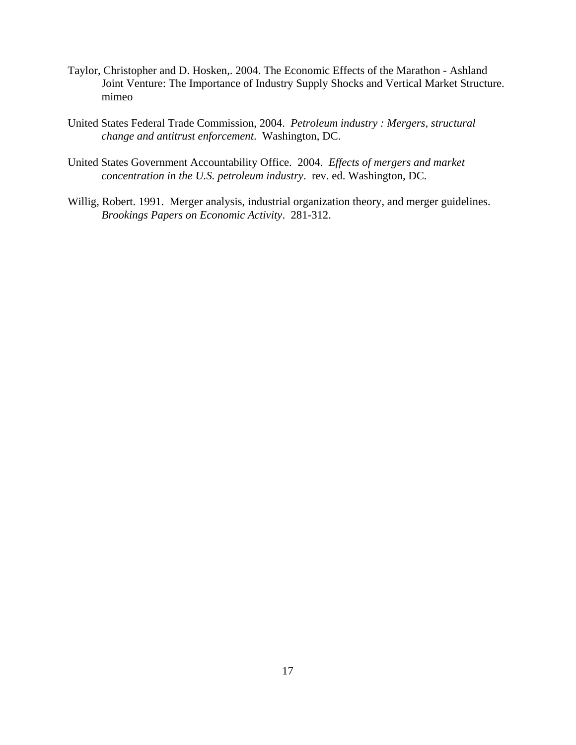- Taylor, Christopher and D. Hosken,. 2004. The Economic Effects of the Marathon Ashland Joint Venture: The Importance of Industry Supply Shocks and Vertical Market Structure. mimeo
- United States Federal Trade Commission, 2004. *Petroleum industry : Mergers, structural change and antitrust enforcement*. Washington, DC.
- United States Government Accountability Office. 2004. *Effects of mergers and market concentration in the U.S. petroleum industry*. rev. ed. Washington, DC.
- Willig, Robert. 1991. Merger analysis, industrial organization theory, and merger guidelines. *Brookings Papers on Economic Activity*. 281-312.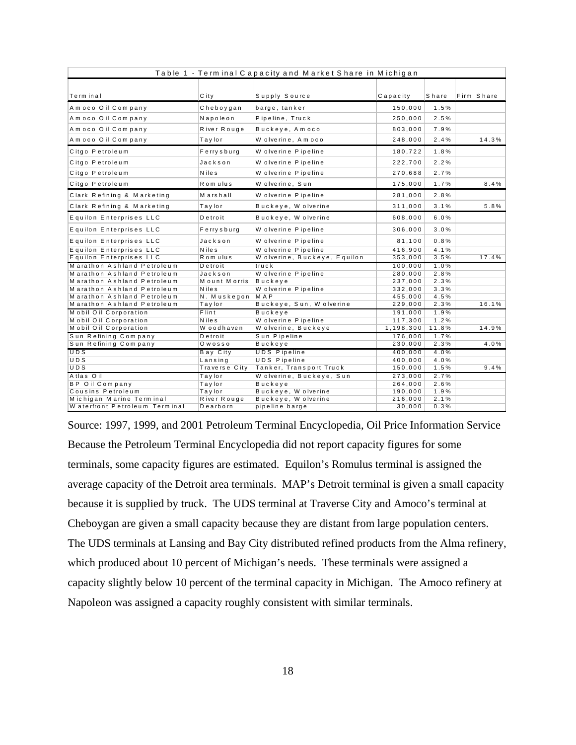| Table 1 - Terminal Capacity and Market Share in Michigan |               |                              |             |       |            |       |  |
|----------------------------------------------------------|---------------|------------------------------|-------------|-------|------------|-------|--|
|                                                          |               |                              |             |       |            |       |  |
| Terminal                                                 | C it y        | Supply Source                | Capacity    | Share | Firm Share |       |  |
| Amoco Oil Company                                        | Cheboygan     | barge, tanker                | 150,000     | 1.5%  |            |       |  |
| Amoco Oil Company                                        | Napoleon      | Pipeline, Truck              | 250,000     | 2.5%  |            |       |  |
| Amoco Oil Company                                        | River Rouge   | Buckeye, Amoco               | 803,000     | 7.9%  |            |       |  |
| Amoco Oil Company                                        | Taylor        | Wolverine, Amoco             | 248,000     | 2.4%  |            | 14.3% |  |
| Citgo Petroleum                                          | Ferrysburg    | W olverine Pipeline          | 180,722     | 1.8%  |            |       |  |
| Citgo Petroleum                                          | Jackson       | W olverine Pipeline          | 222,700     | 2.2%  |            |       |  |
| Citgo Petroleum                                          | <b>Niles</b>  | W olverine Pipeline          | 270,688     | 2.7%  |            |       |  |
| Citgo Petroleum                                          | Rom ulus      | Wolverine, Sun               | 175,000     | 1.7%  |            | 8.4%  |  |
| Clark Refining & Marketing                               | Marshall      | W olverine Pipeline          | 281,000     | 2.8%  |            |       |  |
| Clark Refining & Marketing                               | Taylor        | Buckeye, W olverine          | 311,000     | 3.1%  |            | 5.8%  |  |
| Equilon Enterprises LLC                                  | Detroit       | Buckeye, W olverine          | 608,000     | 6.0%  |            |       |  |
| Equilon Enterprises LLC                                  | Ferrysburg    | W olverine Pipeline          | 306,000     | 3.0%  |            |       |  |
| Equilon Enterprises LLC                                  | Jackson       | W olverine Pipeline          | 81,100      | 0.8%  |            |       |  |
| Equilon Enterprises LLC                                  | <b>N</b> iles | W olverine Pipeline          | 416,900     | 4.1%  |            |       |  |
| Equilon Enterprises LLC                                  | Romulus       | W olverine, Buckeye, Equilon | 353,000     | 3.5%  |            | 17.4% |  |
| Marathon Ashland Petroleum                               | Detroit       | truck                        | 100,000     | 1.0%  |            |       |  |
| Marathon Ashland Petroleum                               | Jackson       | W olverine Pipeline          | 280,000     | 2.8%  |            |       |  |
| Marathon Ashland Petroleum                               | Mount Morris  | Buckeye                      | 237,000     | 2.3%  |            |       |  |
| Marathon Ashland Petroleum                               | N ile s       | W olverine Pipeline          | 332,000     | 3.3%  |            |       |  |
| Marathon Ashland Petroleum                               | N. Muskegon   | M A P                        | 455,000     | 4.5%  |            |       |  |
| Marathon Ashland Petroleum                               | Taylor        | Buckeye, Sun, W olverine     | 229,000     | 2.3%  |            | 16.1% |  |
| <b>Mobil Oil Corporation</b>                             | Flint         | <b>Buckeye</b>               | 191,000     | 1.9%  |            |       |  |
| Mobil Oil Corporation                                    | <b>Niles</b>  | W olverine Pipeline          | 117,300     | 1.2%  |            |       |  |
| Mobil Oil Corporation                                    | W oodhaven    | W olverine, Buckeye          | 1, 198, 300 | 11.8% |            | 14.9% |  |
| Sun Refining Company                                     | Detroit       | Sun Pipeline                 | 176,000     | 1.7%  |            |       |  |
| Sun Refining Company                                     | Owosso        | Buckeye                      | 230,000     | 2.3%  |            | 4.0%  |  |
| UDS                                                      | Bay City      | <b>UDS Pipeline</b>          | 400,000     | 4.0%  |            |       |  |
| UDS                                                      | Lansing       | <b>UDS Pipeline</b>          | 400,000     | 4.0%  |            |       |  |
| UDS                                                      | Traverse City | Tanker, Transport Truck      | 150,000     | 1.5%  |            | 9.4%  |  |
| Atlas Oil                                                | Taylor        | Wolverine, Buckeye, Sun      | 273,000     | 2.7%  |            |       |  |
| <b>BP</b> Oil Company                                    | Taylor        | Buckeye                      | 264,000     | 2.6%  |            |       |  |
| Cousins Petroleum                                        | Taylor        | Buckeye, W olverine          | 190,000     | 1.9%  |            |       |  |
| Michigan Marine Terminal                                 | River Rouge   | Buckeye, W olverine          | 216,000     | 2.1%  |            |       |  |
| W aterfront Petroleum Terminal                           | Dearborn      | pipeline barge               | 30,000      | 0.3%  |            |       |  |

Source: 1997, 1999, and 2001 Petroleum Terminal Encyclopedia, Oil Price Information Service Because the Petroleum Terminal Encyclopedia did not report capacity figures for some terminals, some capacity figures are estimated. Equilon's Romulus terminal is assigned the average capacity of the Detroit area terminals. MAP's Detroit terminal is given a small capacity because it is supplied by truck. The UDS terminal at Traverse City and Amoco's terminal at Cheboygan are given a small capacity because they are distant from large population centers. The UDS terminals at Lansing and Bay City distributed refined products from the Alma refinery, which produced about 10 percent of Michigan's needs. These terminals were assigned a capacity slightly below 10 percent of the terminal capacity in Michigan. The Amoco refinery at Napoleon was assigned a capacity roughly consistent with similar terminals.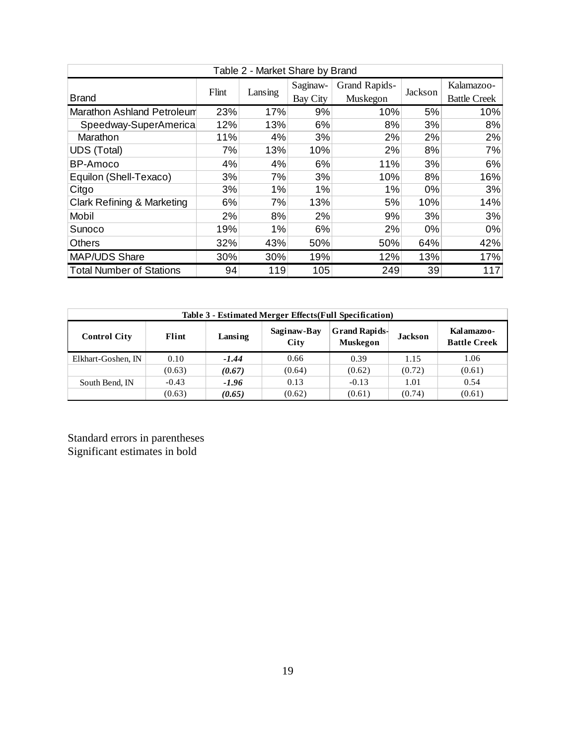| Table 2 - Market Share by Brand       |       |         |                 |               |         |                     |  |  |
|---------------------------------------|-------|---------|-----------------|---------------|---------|---------------------|--|--|
|                                       |       |         | Saginaw-        | Grand Rapids- |         | Kalamazoo-          |  |  |
| <b>Brand</b>                          | Flint | Lansing | <b>Bay City</b> | Muskegon      | Jackson | <b>Battle Creek</b> |  |  |
| Marathon Ashland Petroleum            | 23%   | 17%     | 9%              | 10%           | 5%      | 10%                 |  |  |
| Speedway-SuperAmerica                 | 12%   | 13%     | 6%              | 8%            | 3%      | 8%                  |  |  |
| Marathon                              | 11%   | 4%      | 3%              | 2%            | 2%      | 2%                  |  |  |
| <b>UDS (Total)</b>                    | 7%    | 13%     | 10%             | 2%            | 8%      | 7%                  |  |  |
| BP-Amoco                              | 4%    | 4%      | 6%              | 11%           | 3%      | 6%                  |  |  |
| Equilon (Shell-Texaco)                | 3%    | 7%      | 3%              | 10%           | 8%      | 16%                 |  |  |
| Citgo                                 | 3%    | 1%      | 1%              | 1%            | $0\%$   | 3%                  |  |  |
| <b>Clark Refining &amp; Marketing</b> | 6%    | 7%      | 13%             | 5%            | 10%     | 14%                 |  |  |
| Mobil                                 | 2%    | 8%      | 2%              | 9%            | 3%      | 3%                  |  |  |
| Sunoco                                | 19%   | 1%      | 6%              | 2%            | $0\%$   | $0\%$               |  |  |
| <b>Others</b>                         | 32%   | 43%     | 50%             | 50%           | 64%     | 42%                 |  |  |
| <b>MAP/UDS Share</b>                  | 30%   | 30%     | 19%             | 12%           | 13%     | 17%                 |  |  |
| <b>Total Number of Stations</b>       | 94    | 119     | 105             | 249           | 39      | 117                 |  |  |

| Table 3 - Estimated Merger Effects (Full Specification) |                                                                                                                                    |         |        |         |        |        |  |
|---------------------------------------------------------|------------------------------------------------------------------------------------------------------------------------------------|---------|--------|---------|--------|--------|--|
| <b>Control City</b>                                     | <b>Grand Rapids-</b><br>Saginaw-Bay<br>Kalamazoo-<br>Flint<br>Lansing<br><b>Jackson</b><br>Muskegon<br>City<br><b>Battle Creek</b> |         |        |         |        |        |  |
| Elkhart-Goshen, IN                                      | 0.10                                                                                                                               | $-1.44$ | 0.66   | 0.39    | 1.15   | 1.06   |  |
|                                                         | (0.63)                                                                                                                             | (0.67)  | (0.64) | (0.62)  | (0.72) | (0.61) |  |
| South Bend, IN                                          | $-0.43$                                                                                                                            | $-1.96$ | 0.13   | $-0.13$ | 1.01   | 0.54   |  |
|                                                         | (0.63)                                                                                                                             | (0.65)  | (0.62) | (0.61)  | (0.74) | (0.61) |  |

Standard errors in parentheses Significant estimates in bold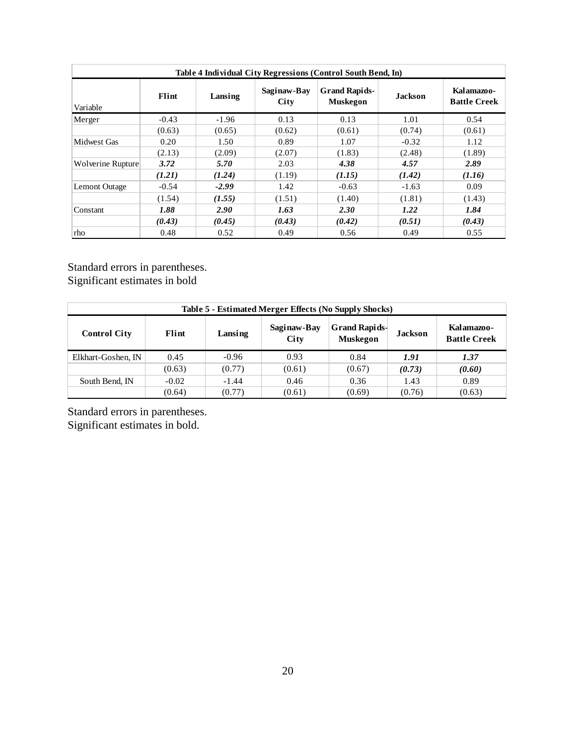| Table 4 Individual City Regressions (Control South Bend, In) |         |         |                     |                                         |                |                                   |  |
|--------------------------------------------------------------|---------|---------|---------------------|-----------------------------------------|----------------|-----------------------------------|--|
| Variable                                                     | Flint   | Lansing | Saginaw-Bay<br>City | <b>Grand Rapids-</b><br><b>Muskegon</b> | <b>Jackson</b> | Kalamazoo-<br><b>Battle Creek</b> |  |
| Merger                                                       | $-0.43$ | $-1.96$ | 0.13                | 0.13                                    | 1.01           | 0.54                              |  |
|                                                              | (0.63)  | (0.65)  | (0.62)              | (0.61)                                  | (0.74)         | (0.61)                            |  |
| Midwest Gas                                                  | 0.20    | 1.50    | 0.89                | 1.07                                    | $-0.32$        | 1.12                              |  |
|                                                              | (2.13)  | (2.09)  | (2.07)              | (1.83)                                  | (2.48)         | (1.89)                            |  |
| Wolverine Rupture                                            | 3.72    | 5.70    | 2.03                | 4.38                                    | 4.57           | 2.89                              |  |
|                                                              | (1.21)  | (1.24)  | (1.19)              | (1.15)                                  | (1.42)         | (1.16)                            |  |
| <b>Lemont Outage</b>                                         | $-0.54$ | $-2.99$ | 1.42                | $-0.63$                                 | $-1.63$        | 0.09                              |  |
|                                                              | (1.54)  | (1.55)  | (1.51)              | (1.40)                                  | (1.81)         | (1.43)                            |  |
| Constant                                                     | 1.88    | 2.90    | 1.63                | 2.30                                    | 1.22           | 1.84                              |  |
|                                                              | (0.43)  | (0.45)  | (0.43)              | (0.42)                                  | (0.51)         | (0.43)                            |  |
| rho                                                          | 0.48    | 0.52    | 0.49                | 0.56                                    | 0.49           | 0.55                              |  |

Standard errors in parentheses. Significant estimates in bold

| Table 5 - Estimated Merger Effects (No Supply Shocks)                                                                                                            |         |         |        |        |        |        |  |  |
|------------------------------------------------------------------------------------------------------------------------------------------------------------------|---------|---------|--------|--------|--------|--------|--|--|
| <b>Grand Rapids-</b><br>Saginaw-Bay<br>Kalamazoo-<br>Flint<br><b>Jackson</b><br><b>Control City</b><br>Lansing<br><b>Battle Creek</b><br>City<br><b>Muskegon</b> |         |         |        |        |        |        |  |  |
| Elkhart-Goshen, IN                                                                                                                                               | 0.45    | $-0.96$ | 0.93   | 0.84   | 1.91   | 1.37   |  |  |
|                                                                                                                                                                  | (0.63)  | (0.77)  | (0.61) | (0.67) | (0.73) | (0.60) |  |  |
| South Bend, IN                                                                                                                                                   | $-0.02$ | $-1.44$ | 0.46   | 0.36   | 1.43   | 0.89   |  |  |
|                                                                                                                                                                  | (0.64)  | (0.77)  | (0.61) | (0.69) | (0.76) | (0.63) |  |  |

Standard errors in parentheses. Significant estimates in bold.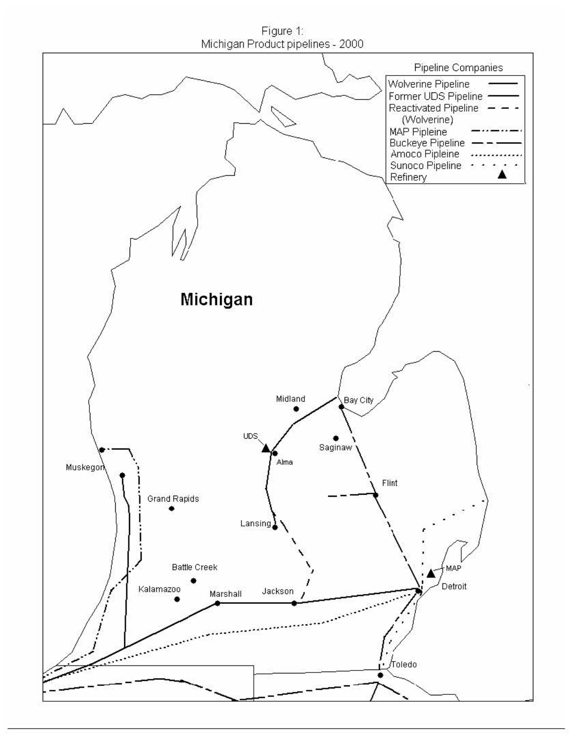Figure 1 Michigan Product pipelines - 2000

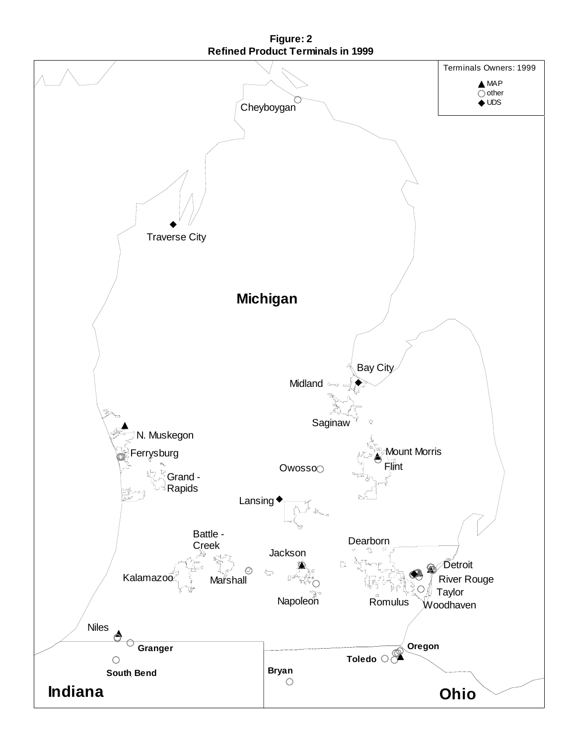

**Figure: 2 Refined Product Terminals in 1999**